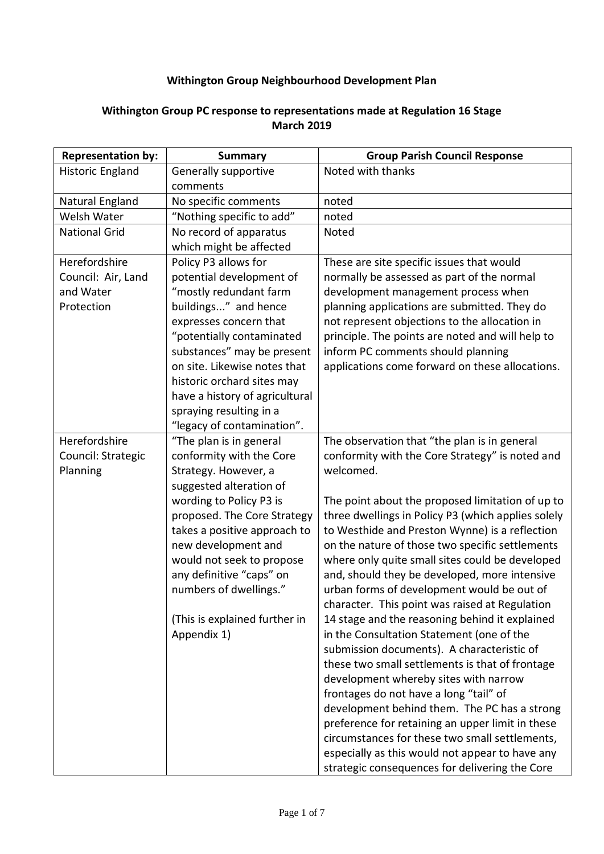## **Withington Group Neighbourhood Development Plan**

## Natural England | No specific comments | noted Welsh Water  $\vert$  "Nothing specific to add" | noted National Grid  $\vert$  No record of apparatus which might be affected Council: Air, Land and Water Policy P3 allows for "mostly redundant farm buildings..." and hence expresses concern that substances" may be present on site. Likewise notes that historic orchard sites may have a history of agricultural spraying resulting in a "legacy of contamination". These are site specific issues that would normally be assessed as part of the normal development management process when planning applications are submitted. They do not represent objections to the allocation in principle. The points are noted and will help to inform PC comments should planning applications come forward on these allocations. Council: Strategic "The plan is in general conformity with the Core Strategy. However, a suggested alteration of wording to Policy P3 is would not seek to propose numbers of dwellings." (This is explained further in The observation that "the plan is in general conformity with the Core Strategy" is noted and The point about the proposed limitation of up to three dwellings in Policy P3 (which applies solely to Westhide and Preston Wynne) is a reflection on the nature of those two specific settlements where only quite small sites could be developed and, should they be developed, more intensive urban forms of development would be out of character. This point was raised at Regulation 14 stage and the reasoning behind it explained in the Consultation Statement (one of the submission documents). A characteristic of these two small settlements is that of frontage development whereby sites with narrow frontages do not have a long "tail" of development behind them. The PC has a strong preference for retaining an upper limit in these circumstances for these two small settlements, especially as this would not appear to have any Withington Group Neighbourhood Development Plan<br>
Froup PC response to representations made at Regulat<br>
March 2019<br>
Summary Group Parish C<br>
Cenerally supportive<br>
No record of apparatus<br>
No specific comments<br>
"Nothing specif **Representation by:** | Summary | Group Parish Council Response Historic England | Generally supportive comments Noted with thanks Noted Herefordshire Protection potential development of "potentially contaminated Herefordshire Planning proposed. The Core Strategy takes a positive approach to new development and any definitive "caps" on Appendix 1) welcomed.

## **Withington Group PC response to representations made at Regulation 16 Stage March 2019**

strategic consequences for delivering the Core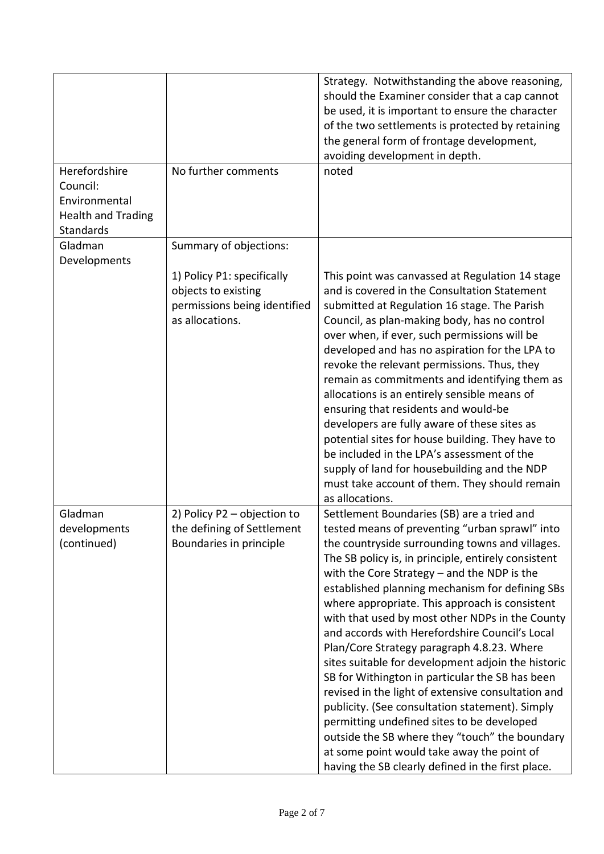|                                                                                             |                                                                                                      | Strategy. Notwithstanding the above reasoning,<br>should the Examiner consider that a cap cannot<br>be used, it is important to ensure the character<br>of the two settlements is protected by retaining<br>the general form of frontage development,<br>avoiding development in depth.                                                                                                                                                                                                                                                                                                                                                                                                                                                                                                                                                                                                                                              |
|---------------------------------------------------------------------------------------------|------------------------------------------------------------------------------------------------------|--------------------------------------------------------------------------------------------------------------------------------------------------------------------------------------------------------------------------------------------------------------------------------------------------------------------------------------------------------------------------------------------------------------------------------------------------------------------------------------------------------------------------------------------------------------------------------------------------------------------------------------------------------------------------------------------------------------------------------------------------------------------------------------------------------------------------------------------------------------------------------------------------------------------------------------|
| Herefordshire<br>Council:<br>Environmental<br><b>Health and Trading</b><br><b>Standards</b> | No further comments                                                                                  | noted                                                                                                                                                                                                                                                                                                                                                                                                                                                                                                                                                                                                                                                                                                                                                                                                                                                                                                                                |
| Gladman<br>Developments                                                                     | Summary of objections:                                                                               |                                                                                                                                                                                                                                                                                                                                                                                                                                                                                                                                                                                                                                                                                                                                                                                                                                                                                                                                      |
|                                                                                             | 1) Policy P1: specifically<br>objects to existing<br>permissions being identified<br>as allocations. | This point was canvassed at Regulation 14 stage<br>and is covered in the Consultation Statement<br>submitted at Regulation 16 stage. The Parish<br>Council, as plan-making body, has no control<br>over when, if ever, such permissions will be<br>developed and has no aspiration for the LPA to<br>revoke the relevant permissions. Thus, they<br>remain as commitments and identifying them as<br>allocations is an entirely sensible means of<br>ensuring that residents and would-be<br>developers are fully aware of these sites as<br>potential sites for house building. They have to<br>be included in the LPA's assessment of the<br>supply of land for housebuilding and the NDP<br>must take account of them. They should remain<br>as allocations.                                                                                                                                                                      |
| Gladman<br>developments<br>(continued)                                                      | 2) Policy P2 - objection to<br>the defining of Settlement<br>Boundaries in principle                 | Settlement Boundaries (SB) are a tried and<br>tested means of preventing "urban sprawl" into<br>the countryside surrounding towns and villages.<br>The SB policy is, in principle, entirely consistent<br>with the Core Strategy $-$ and the NDP is the<br>established planning mechanism for defining SBs<br>where appropriate. This approach is consistent<br>with that used by most other NDPs in the County<br>and accords with Herefordshire Council's Local<br>Plan/Core Strategy paragraph 4.8.23. Where<br>sites suitable for development adjoin the historic<br>SB for Withington in particular the SB has been<br>revised in the light of extensive consultation and<br>publicity. (See consultation statement). Simply<br>permitting undefined sites to be developed<br>outside the SB where they "touch" the boundary<br>at some point would take away the point of<br>having the SB clearly defined in the first place. |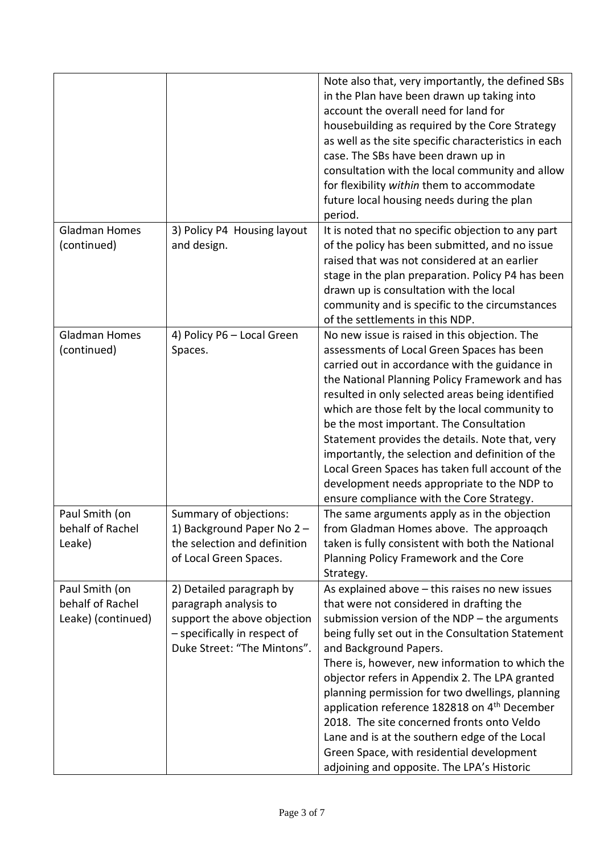|                                                          |                                                                                                                                                 | Note also that, very importantly, the defined SBs<br>in the Plan have been drawn up taking into<br>account the overall need for land for<br>housebuilding as required by the Core Strategy<br>as well as the site specific characteristics in each<br>case. The SBs have been drawn up in<br>consultation with the local community and allow<br>for flexibility within them to accommodate<br>future local housing needs during the plan<br>period.                                                                                                                                                                                      |
|----------------------------------------------------------|-------------------------------------------------------------------------------------------------------------------------------------------------|------------------------------------------------------------------------------------------------------------------------------------------------------------------------------------------------------------------------------------------------------------------------------------------------------------------------------------------------------------------------------------------------------------------------------------------------------------------------------------------------------------------------------------------------------------------------------------------------------------------------------------------|
| <b>Gladman Homes</b><br>(continued)                      | 3) Policy P4 Housing layout<br>and design.                                                                                                      | It is noted that no specific objection to any part<br>of the policy has been submitted, and no issue<br>raised that was not considered at an earlier<br>stage in the plan preparation. Policy P4 has been<br>drawn up is consultation with the local<br>community and is specific to the circumstances<br>of the settlements in this NDP.                                                                                                                                                                                                                                                                                                |
| <b>Gladman Homes</b><br>(continued)                      | 4) Policy P6 - Local Green<br>Spaces.                                                                                                           | No new issue is raised in this objection. The<br>assessments of Local Green Spaces has been<br>carried out in accordance with the guidance in<br>the National Planning Policy Framework and has<br>resulted in only selected areas being identified<br>which are those felt by the local community to<br>be the most important. The Consultation<br>Statement provides the details. Note that, very<br>importantly, the selection and definition of the<br>Local Green Spaces has taken full account of the<br>development needs appropriate to the NDP to<br>ensure compliance with the Core Strategy.                                  |
| Paul Smith (on<br>behalf of Rachel<br>Leake)             | Summary of objections:<br>1) Background Paper No 2-<br>the selection and definition<br>of Local Green Spaces.                                   | The same arguments apply as in the objection<br>from Gladman Homes above. The approaqch<br>taken is fully consistent with both the National<br>Planning Policy Framework and the Core<br>Strategy.                                                                                                                                                                                                                                                                                                                                                                                                                                       |
| Paul Smith (on<br>behalf of Rachel<br>Leake) (continued) | 2) Detailed paragraph by<br>paragraph analysis to<br>support the above objection<br>- specifically in respect of<br>Duke Street: "The Mintons". | As explained above - this raises no new issues<br>that were not considered in drafting the<br>submission version of the NDP - the arguments<br>being fully set out in the Consultation Statement<br>and Background Papers.<br>There is, however, new information to which the<br>objector refers in Appendix 2. The LPA granted<br>planning permission for two dwellings, planning<br>application reference 182818 on 4 <sup>th</sup> December<br>2018. The site concerned fronts onto Veldo<br>Lane and is at the southern edge of the Local<br>Green Space, with residential development<br>adjoining and opposite. The LPA's Historic |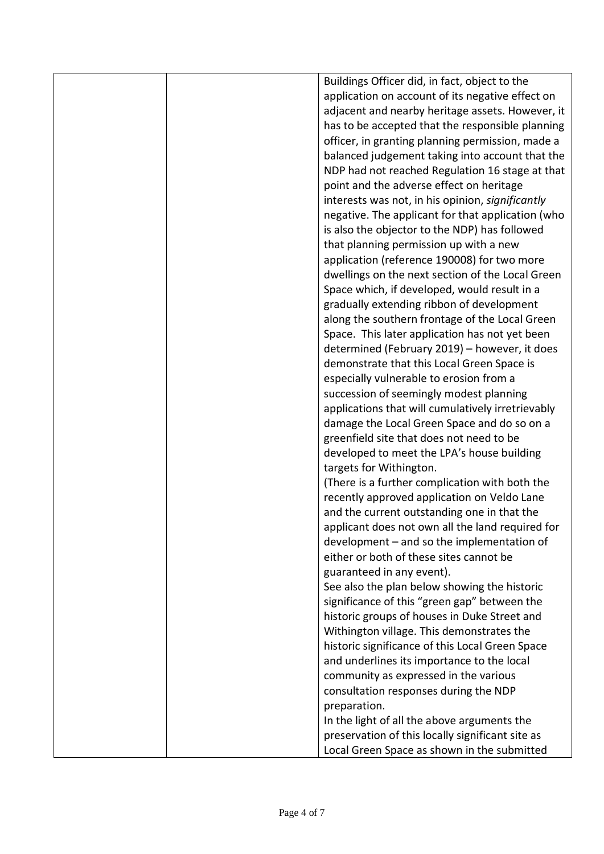|  | Buildings Officer did, in fact, object to the     |
|--|---------------------------------------------------|
|  | application on account of its negative effect on  |
|  | adjacent and nearby heritage assets. However, it  |
|  | has to be accepted that the responsible planning  |
|  | officer, in granting planning permission, made a  |
|  | balanced judgement taking into account that the   |
|  | NDP had not reached Regulation 16 stage at that   |
|  | point and the adverse effect on heritage          |
|  | interests was not, in his opinion, significantly  |
|  | negative. The applicant for that application (who |
|  | is also the objector to the NDP) has followed     |
|  | that planning permission up with a new            |
|  | application (reference 190008) for two more       |
|  | dwellings on the next section of the Local Green  |
|  | Space which, if developed, would result in a      |
|  | gradually extending ribbon of development         |
|  | along the southern frontage of the Local Green    |
|  | Space. This later application has not yet been    |
|  | determined (February 2019) - however, it does     |
|  | demonstrate that this Local Green Space is        |
|  | especially vulnerable to erosion from a           |
|  | succession of seemingly modest planning           |
|  | applications that will cumulatively irretrievably |
|  | damage the Local Green Space and do so on a       |
|  | greenfield site that does not need to be          |
|  | developed to meet the LPA's house building        |
|  | targets for Withington.                           |
|  | (There is a further complication with both the    |
|  | recently approved application on Veldo Lane       |
|  | and the current outstanding one in that the       |
|  | applicant does not own all the land required for  |
|  | development - and so the implementation of        |
|  | either or both of these sites cannot be           |
|  | guaranteed in any event).                         |
|  | See also the plan below showing the historic      |
|  | significance of this "green gap" between the      |
|  | historic groups of houses in Duke Street and      |
|  | Withington village. This demonstrates the         |
|  | historic significance of this Local Green Space   |
|  | and underlines its importance to the local        |
|  | community as expressed in the various             |
|  | consultation responses during the NDP             |
|  | preparation.                                      |
|  | In the light of all the above arguments the       |
|  | preservation of this locally significant site as  |
|  | Local Green Space as shown in the submitted       |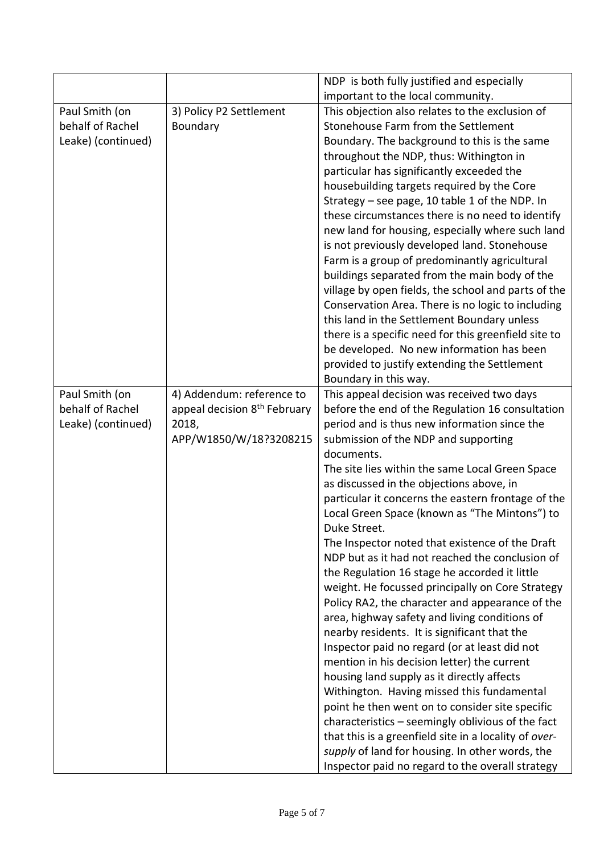|                    |                                          | NDP is both fully justified and especially                                                                                                                                                                        |
|--------------------|------------------------------------------|-------------------------------------------------------------------------------------------------------------------------------------------------------------------------------------------------------------------|
|                    |                                          | important to the local community.                                                                                                                                                                                 |
| Paul Smith (on     | 3) Policy P2 Settlement                  | This objection also relates to the exclusion of                                                                                                                                                                   |
| behalf of Rachel   | Boundary                                 | Stonehouse Farm from the Settlement                                                                                                                                                                               |
| Leake) (continued) |                                          | Boundary. The background to this is the same                                                                                                                                                                      |
|                    |                                          | throughout the NDP, thus: Withington in                                                                                                                                                                           |
|                    |                                          | particular has significantly exceeded the                                                                                                                                                                         |
|                    |                                          | housebuilding targets required by the Core                                                                                                                                                                        |
|                    |                                          | Strategy - see page, 10 table 1 of the NDP. In                                                                                                                                                                    |
|                    |                                          | these circumstances there is no need to identify                                                                                                                                                                  |
|                    |                                          | new land for housing, especially where such land                                                                                                                                                                  |
|                    |                                          | is not previously developed land. Stonehouse                                                                                                                                                                      |
|                    |                                          | Farm is a group of predominantly agricultural                                                                                                                                                                     |
|                    |                                          | buildings separated from the main body of the                                                                                                                                                                     |
|                    |                                          | village by open fields, the school and parts of the                                                                                                                                                               |
|                    |                                          | Conservation Area. There is no logic to including                                                                                                                                                                 |
|                    |                                          | this land in the Settlement Boundary unless                                                                                                                                                                       |
|                    |                                          | there is a specific need for this greenfield site to                                                                                                                                                              |
|                    |                                          | be developed. No new information has been                                                                                                                                                                         |
|                    |                                          | provided to justify extending the Settlement                                                                                                                                                                      |
|                    |                                          | Boundary in this way.                                                                                                                                                                                             |
| Paul Smith (on     | 4) Addendum: reference to                | This appeal decision was received two days                                                                                                                                                                        |
| behalf of Rachel   | appeal decision 8 <sup>th</sup> February | before the end of the Regulation 16 consultation                                                                                                                                                                  |
| Leake) (continued) | 2018,                                    | period and is thus new information since the                                                                                                                                                                      |
|                    | APP/W1850/W/18?3208215                   | submission of the NDP and supporting                                                                                                                                                                              |
|                    |                                          | documents.                                                                                                                                                                                                        |
|                    |                                          | The site lies within the same Local Green Space                                                                                                                                                                   |
|                    |                                          | as discussed in the objections above, in                                                                                                                                                                          |
|                    |                                          | particular it concerns the eastern frontage of the                                                                                                                                                                |
|                    |                                          | Local Green Space (known as "The Mintons") to                                                                                                                                                                     |
|                    |                                          | Duke Street.                                                                                                                                                                                                      |
|                    |                                          | The Inspector noted that existence of the Draft                                                                                                                                                                   |
|                    |                                          | NDP but as it had not reached the conclusion of                                                                                                                                                                   |
|                    |                                          | the Regulation 16 stage he accorded it little                                                                                                                                                                     |
|                    |                                          | weight. He focussed principally on Core Strategy                                                                                                                                                                  |
|                    |                                          | Policy RA2, the character and appearance of the                                                                                                                                                                   |
|                    |                                          | area, highway safety and living conditions of                                                                                                                                                                     |
|                    |                                          | nearby residents. It is significant that the                                                                                                                                                                      |
|                    |                                          | Inspector paid no regard (or at least did not                                                                                                                                                                     |
|                    |                                          | mention in his decision letter) the current<br>housing land supply as it directly affects                                                                                                                         |
|                    |                                          | Withington. Having missed this fundamental                                                                                                                                                                        |
|                    |                                          | point he then went on to consider site specific                                                                                                                                                                   |
|                    |                                          |                                                                                                                                                                                                                   |
|                    |                                          |                                                                                                                                                                                                                   |
|                    |                                          |                                                                                                                                                                                                                   |
|                    |                                          |                                                                                                                                                                                                                   |
|                    |                                          | characteristics - seemingly oblivious of the fact<br>that this is a greenfield site in a locality of over-<br>supply of land for housing. In other words, the<br>Inspector paid no regard to the overall strategy |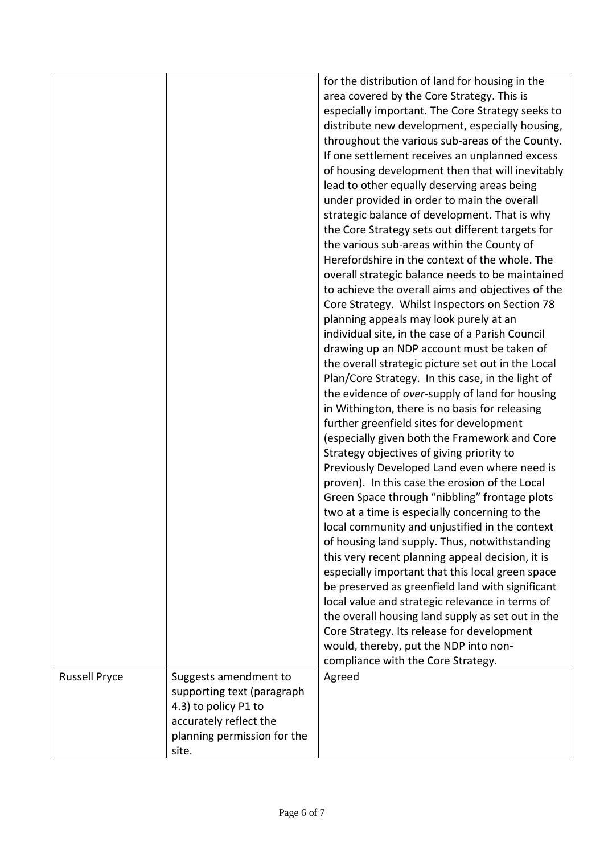|                      |                             | for the distribution of land for housing in the    |
|----------------------|-----------------------------|----------------------------------------------------|
|                      |                             | area covered by the Core Strategy. This is         |
|                      |                             | especially important. The Core Strategy seeks to   |
|                      |                             | distribute new development, especially housing,    |
|                      |                             | throughout the various sub-areas of the County.    |
|                      |                             | If one settlement receives an unplanned excess     |
|                      |                             | of housing development then that will inevitably   |
|                      |                             | lead to other equally deserving areas being        |
|                      |                             | under provided in order to main the overall        |
|                      |                             | strategic balance of development. That is why      |
|                      |                             | the Core Strategy sets out different targets for   |
|                      |                             | the various sub-areas within the County of         |
|                      |                             | Herefordshire in the context of the whole. The     |
|                      |                             | overall strategic balance needs to be maintained   |
|                      |                             | to achieve the overall aims and objectives of the  |
|                      |                             | Core Strategy. Whilst Inspectors on Section 78     |
|                      |                             | planning appeals may look purely at an             |
|                      |                             | individual site, in the case of a Parish Council   |
|                      |                             | drawing up an NDP account must be taken of         |
|                      |                             | the overall strategic picture set out in the Local |
|                      |                             | Plan/Core Strategy. In this case, in the light of  |
|                      |                             | the evidence of over-supply of land for housing    |
|                      |                             | in Withington, there is no basis for releasing     |
|                      |                             | further greenfield sites for development           |
|                      |                             | (especially given both the Framework and Core      |
|                      |                             | Strategy objectives of giving priority to          |
|                      |                             | Previously Developed Land even where need is       |
|                      |                             | proven). In this case the erosion of the Local     |
|                      |                             | Green Space through "nibbling" frontage plots      |
|                      |                             | two at a time is especially concerning to the      |
|                      |                             | local community and unjustified in the context     |
|                      |                             | of housing land supply. Thus, notwithstanding      |
|                      |                             | this very recent planning appeal decision, it is   |
|                      |                             | especially important that this local green space   |
|                      |                             | be preserved as greenfield land with significant   |
|                      |                             | local value and strategic relevance in terms of    |
|                      |                             | the overall housing land supply as set out in the  |
|                      |                             | Core Strategy. Its release for development         |
|                      |                             | would, thereby, put the NDP into non-              |
|                      |                             | compliance with the Core Strategy.                 |
| <b>Russell Pryce</b> | Suggests amendment to       | Agreed                                             |
|                      | supporting text (paragraph  |                                                    |
|                      | 4.3) to policy P1 to        |                                                    |
|                      | accurately reflect the      |                                                    |
|                      | planning permission for the |                                                    |
|                      | site.                       |                                                    |